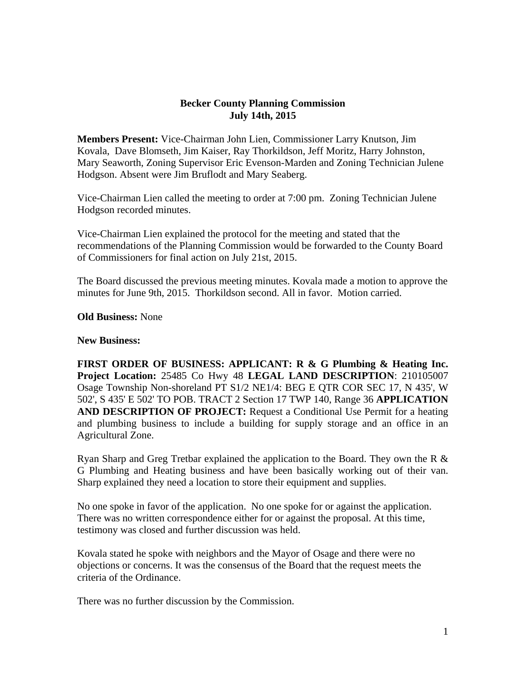## **Becker County Planning Commission July 14th, 2015**

**Members Present:** Vice-Chairman John Lien, Commissioner Larry Knutson, Jim Kovala, Dave Blomseth, Jim Kaiser, Ray Thorkildson, Jeff Moritz, Harry Johnston, Mary Seaworth, Zoning Supervisor Eric Evenson-Marden and Zoning Technician Julene Hodgson. Absent were Jim Bruflodt and Mary Seaberg.

Vice-Chairman Lien called the meeting to order at 7:00 pm. Zoning Technician Julene Hodgson recorded minutes.

Vice-Chairman Lien explained the protocol for the meeting and stated that the recommendations of the Planning Commission would be forwarded to the County Board of Commissioners for final action on July 21st, 2015.

The Board discussed the previous meeting minutes. Kovala made a motion to approve the minutes for June 9th, 2015. Thorkildson second. All in favor. Motion carried.

## **Old Business:** None

## **New Business:**

**FIRST ORDER OF BUSINESS: APPLICANT: R & G Plumbing & Heating Inc. Project Location:** 25485 Co Hwy 48 **LEGAL LAND DESCRIPTION**: 210105007 Osage Township Non-shoreland PT S1/2 NE1/4: BEG E QTR COR SEC 17, N 435', W 502', S 435' E 502' TO POB. TRACT 2 Section 17 TWP 140, Range 36 **APPLICATION AND DESCRIPTION OF PROJECT:** Request a Conditional Use Permit for a heating and plumbing business to include a building for supply storage and an office in an Agricultural Zone.

Ryan Sharp and Greg Tretbar explained the application to the Board. They own the R & G Plumbing and Heating business and have been basically working out of their van. Sharp explained they need a location to store their equipment and supplies.

No one spoke in favor of the application. No one spoke for or against the application. There was no written correspondence either for or against the proposal. At this time, testimony was closed and further discussion was held.

Kovala stated he spoke with neighbors and the Mayor of Osage and there were no objections or concerns. It was the consensus of the Board that the request meets the criteria of the Ordinance.

There was no further discussion by the Commission.